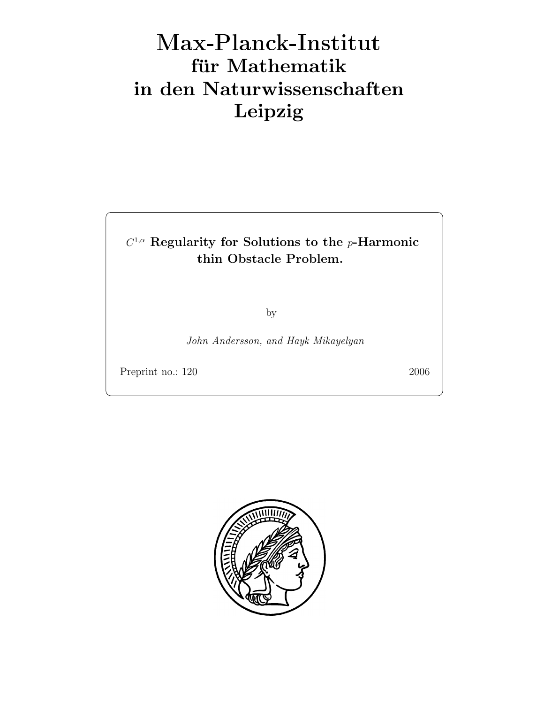# Max-Plan
k-Institut für Mathematik in den Naturwissenschaften Leipzig

## $C^{1,\alpha}$  Regularity for Solutions to the p-Harmonic thin Obstacle Problem.

by

John Andersson, and Hayk Mikayelyan

Preprint no.: 120 2006

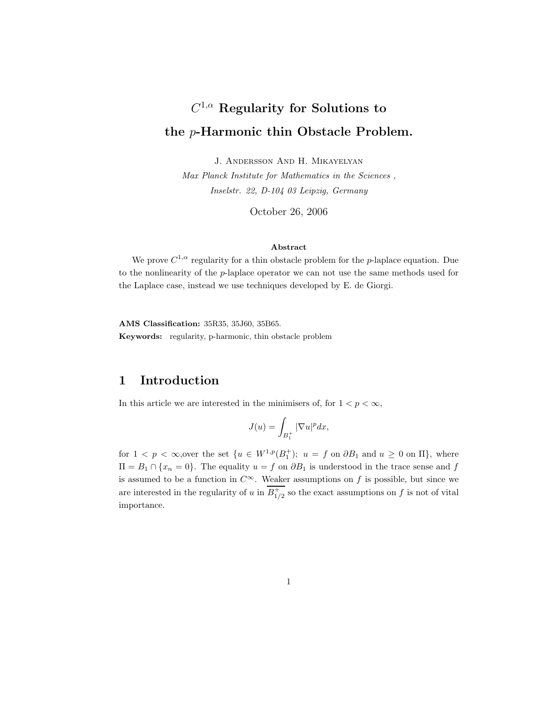## $C^{1,\alpha}$  Regularity for Solutions to the p-Harmonic thin Obstacle Problem.

J. Andersson And H. Mikayelyan

Max Planck Institute for Mathematics in the Sciences , Inselstr. 22, D-104 03 Leipzig, Germany

October 26, 2006

#### Abstract

We prove  $C^{1,\alpha}$  regularity for a thin obstacle problem for the p-laplace equation. Due to the nonlinearity of the p-laplace operator we can not use the same methods used for the Laplace case, instead we use techniques developed by E. de Giorgi.

AMS Classification: 35R35, 35J60, 35B65. Keywords: regularity, p-harmonic, thin obstacle problem

## 1 Introduction

In this article we are interested in the minimisers of, for  $1 < p < \infty$ ,

$$
J(u) = \int_{B_1^+} |\nabla u|^p dx,
$$

for  $1 < p < \infty$ , over the set  $\{u \in W^{1,p}(B_1^+); u = f \text{ on } \partial B_1 \text{ and } u \geq 0 \text{ on } \Pi\}$ , where  $\Pi = B_1 \cap \{x_n = 0\}.$  The equality  $u = f$  on  $\partial B_1$  is understood in the trace sense and f is assumed to be a function in  $C^{\infty}$ . Weaker assumptions on f is possible, but since we are interested in the regularity of u in  $B_{1/2}^+$  so the exact assumptions on f is not of vital importance.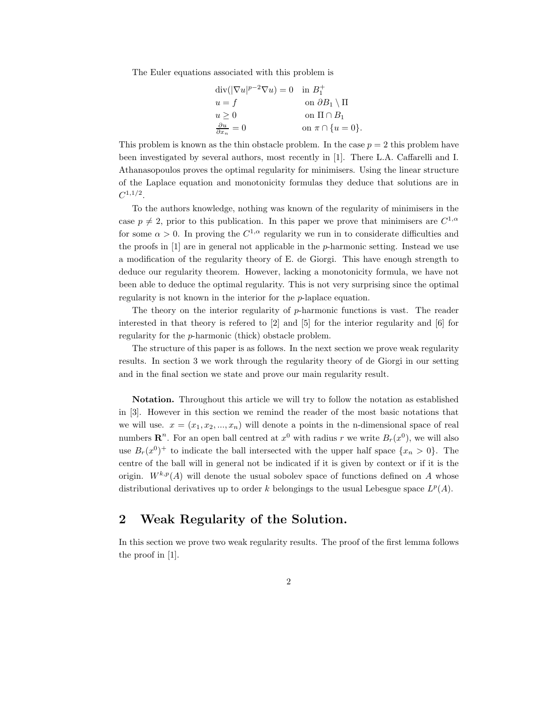The Euler equations associated with this problem is

| $\operatorname{div}( \nabla u ^{p-2}\nabla u)=0$ in $B_1^+$ |                                 |
|-------------------------------------------------------------|---------------------------------|
| $u = f$                                                     | on $\partial B_1 \setminus \Pi$ |
| u > 0                                                       | on $\Pi \cap B_1$               |
| $\frac{\partial u}{\partial x_n} = 0$                       | on $\pi \cap \{u = 0\}.$        |

This problem is known as the thin obstacle problem. In the case  $p = 2$  this problem have been investigated by several authors, most recently in [1]. There L.A. Caffarelli and I. Athanasopoulos proves the optimal regularity for minimisers. Using the linear structure of the Laplace equation and monotonicity formulas they deduce that solutions are in  $C^{1,1/2}.$ 

To the authors knowledge, nothing was known of the regularity of minimisers in the case  $p \neq 2$ , prior to this publication. In this paper we prove that minimisers are  $C^{1,\alpha}$ for some  $\alpha > 0$ . In proving the  $C^{1,\alpha}$  regularity we run in to considerate difficulties and the proofs in  $[1]$  are in general not applicable in the p-harmonic setting. Instead we use a modification of the regularity theory of E. de Giorgi. This have enough strength to deduce our regularity theorem. However, lacking a monotonicity formula, we have not been able to deduce the optimal regularity. This is not very surprising since the optimal regularity is not known in the interior for the p-laplace equation.

The theory on the interior regularity of  $p$ -harmonic functions is vast. The reader interested in that theory is refered to [2] and [5] for the interior regularity and [6] for regularity for the p-harmonic (thick) obstacle problem.

The structure of this paper is as follows. In the next section we prove weak regularity results. In section 3 we work through the regularity theory of de Giorgi in our setting and in the final section we state and prove our main regularity result.

Notation. Throughout this article we will try to follow the notation as established in [3]. However in this section we remind the reader of the most basic notations that we will use.  $x = (x_1, x_2, ..., x_n)$  will denote a points in the n-dimensional space of real numbers  $\mathbb{R}^n$ . For an open ball centred at  $x^0$  with radius r we write  $B_r(x^0)$ , we will also use  $B_r(x^0)^+$  to indicate the ball intersected with the upper half space  $\{x_n > 0\}$ . The centre of the ball will in general not be indicated if it is given by context or if it is the origin.  $W^{k,p}(A)$  will denote the usual sobolev space of functions defined on A whose distributional derivatives up to order k belongings to the usual Lebesgue space  $L^p(A)$ .

#### 2 Weak Regularity of the Solution.

In this section we prove two weak regularity results. The proof of the first lemma follows the proof in [1].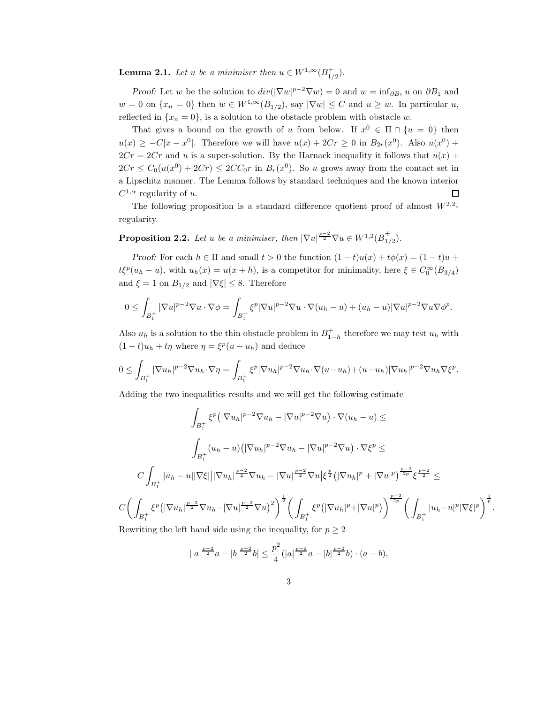**Lemma 2.1.** Let u be a minimiser then  $u \in W^{1,\infty}(B_{1/2}^+).$ 

Proof: Let w be the solution to  $div(|\nabla w|^{p-2}\nabla w) = 0$  and  $w = inf_{\partial B_1} u$  on  $\partial B_1$  and  $w = 0$  on  $\{x_n = 0\}$  then  $w \in W^{1,\infty}(B_{1/2})$ , say  $|\nabla w| \leq C$  and  $u \geq w$ . In particular u, reflected in  $\{x_n = 0\}$ , is a solution to the obstacle problem with obstacle w.

That gives a bound on the growth of u from below. If  $x^0 \in \Pi \cap \{u = 0\}$  then  $u(x) \geq -C|x-x^0|$ . Therefore we will have  $u(x) + 2Cr \geq 0$  in  $B_{2r}(x^0)$ . Also  $u(x^0)$  +  $2Cr = 2Cr$  and u is a super-solution. By the Harnack inequality it follows that  $u(x)$  +  $2Cr \leq C_0(u(x^0) + 2Cr) \leq 2CC_0r$  in  $B_r(x^0)$ . So u grows away from the contact set in a Lipschitz manner. The Lemma follows by standard techniques and the known interior  $C^{1,\alpha}$  regularity of u.  $\Box$ 

The following proposition is a standard difference quotient proof of almost  $W^{2,2}$ regularity.

**Proposition 2.2.** Let u be a minimiser, then  $|\nabla u|^{p-2} \nabla u \in W^{1,2}(\overline{B}_1^+)$  $_{1/2}^{^{\prime}}).$ 

Proof: For each  $h \in \Pi$  and small  $t > 0$  the function  $(1-t)u(x) + t\phi(x) = (1-t)u +$  $t\xi^p(u_h - u)$ , with  $u_h(x) = u(x + h)$ , is a competitor for minimality, here  $\xi \in C_0^{\infty}(B_{3/4})$ and  $\xi = 1$  on  $B_{1/2}$  and  $|\nabla \xi| \leq 8$ . Therefore

$$
0 \leq \int_{B_1^+} |\nabla u|^{p-2} \nabla u \cdot \nabla \phi = \int_{B_1^+} \xi^p |\nabla u|^{p-2} \nabla u \cdot \nabla (u_h - u) + (u_h - u) |\nabla u|^{p-2} \nabla u \nabla \phi^p.
$$

Also  $u_h$  is a solution to the thin obstacle problem in  $B_{1-h}^+$  therefore we may test  $u_h$  with  $(1-t)u_h + t\eta$  where  $\eta = \xi^p(u - u_h)$  and deduce

$$
0 \leq \int_{B_1^+} |\nabla u_h|^{p-2} \nabla u_h \cdot \nabla \eta = \int_{B_1^+} \xi^p |\nabla u_h|^{p-2} \nabla u_h \cdot \nabla (u - u_h) + (u - u_h) |\nabla u_h|^{p-2} \nabla u_h \nabla \xi^p.
$$

Adding the two inequalities results and we will get the following estimate

$$
\int_{B_1^+} \xi^p (|\nabla u_h|^{p-2} \nabla u_h - |\nabla u|^{p-2} \nabla u) \cdot \nabla (u_h - u) \le
$$
\n
$$
\int_{B_1^+} (u_h - u) (|\nabla u_h|^{p-2} \nabla u_h - |\nabla u|^{p-2} \nabla u) \cdot \nabla \xi^p \le
$$
\n
$$
C \int_{B_1^+} |u_h - u| |\nabla \xi| ||\nabla u_h|^{p-2} \nabla u_h - |\nabla u|^{p-2} \nabla u |\xi|^p (|\nabla u_h|^p + |\nabla u|^p)^{\frac{p-2}{2p}} \xi^{\frac{p-2}{2}} \le
$$
\n
$$
C \bigg( \int_{B_1^+} \xi^p (|\nabla u_h|^{p-2} \nabla u_h - |\nabla u|^{p-2} \nabla u)^2 \bigg)^{\frac{1}{2}} \bigg( \int_{B_1^+} \xi^p (|\nabla u_h|^p + |\nabla u|^p) \bigg)^{\frac{p-2}{2p}} \bigg( \int_{B_1^+} |u_h - u|^p |\nabla \xi|^p \bigg)^{\frac{1}{p}}
$$
\nPermitian the left hand side using the inequality for  $n > 2$ .

.

Rewriting the left hand side using the inequality, for  $p \geq 2$ 

$$
||a|^{\frac{p-2}{2}}a-|b|^{\frac{p-2}{2}}b|\leq \frac{p^2}{4}(|a|^{\frac{p-2}{2}}a-|b|^{\frac{p-2}{2}}b)\cdot (a-b),
$$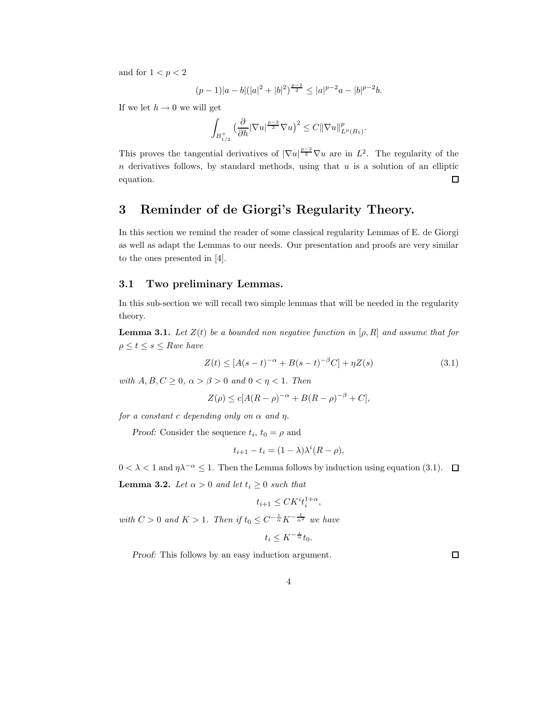and for  $1 < p < 2$ 

$$
(p-1)|a-b|(|a|^2+|b|^2)^{\frac{p-2}{2}} \le |a|^{p-2}a-|b|^{p-2}b.
$$

If we let  $h \to 0$  we will get

$$
\int_{B_{1/2}^+} \left(\frac{\partial}{\partial h} |\nabla u|^\frac{p-2}{2} \nabla u\right)^2 \leq C ||\nabla u||^p_{L^p(B_1)}.
$$

This proves the tangential derivatives of  $|\nabla u|^{p-2} \nabla u$  are in  $L^2$ . The regularity of the  $n$  derivatives follows, by standard methods, using that  $u$  is a solution of an elliptic equation. 口

### 3 Reminder of de Giorgi's Regularity Theory.

In this section we remind the reader of some classical regularity Lemmas of E. de Giorgi as well as adapt the Lemmas to our needs. Our presentation and proofs are very similar to the ones presented in [4].

#### 3.1 Two preliminary Lemmas.

In this sub-section we will recall two simple lemmas that will be needed in the regularity theory.

**Lemma 3.1.** Let  $Z(t)$  be a bounded non negative function in  $[\rho, R]$  and assume that for  $\rho \leq t \leq s \leq R$ we have

$$
Z(t) \le [A(s-t)^{-\alpha} + B(s-t)^{-\beta}C] + \eta Z(s)
$$
\n(3.1)

with  $A, B, C \geq 0$ ,  $\alpha > \beta > 0$  and  $0 < \eta < 1$ . Then

$$
Z(\rho) \le c[A(R - \rho)^{-\alpha} + B(R - \rho)^{-\beta} + C],
$$

for a constant c depending only on  $\alpha$  and  $\eta$ .

Proof: Consider the sequence  $t_i$ ,  $t_0 = \rho$  and

$$
t_{i+1} - t_i = (1 - \lambda)\lambda^i (R - \rho),
$$

 $0 < \lambda < 1$  and  $\eta \lambda^{-\alpha} \leq 1$ . Then the Lemma follows by induction using equation (3.1). □ **Lemma 3.2.** Let  $\alpha > 0$  and let  $t_i \geq 0$  such that

$$
t_{i+1} \leq CK^it_i^{1+\alpha},
$$

with  $C > 0$  and  $K > 1$ . Then if  $t_0 \leq C^{-\frac{1}{\alpha}} K^{-\frac{1}{\alpha^2}}$  we have

$$
t_i \leq K^{-\frac{i}{\alpha}} t_0.
$$

Proof: This follows by an easy induction argument.

 $\Box$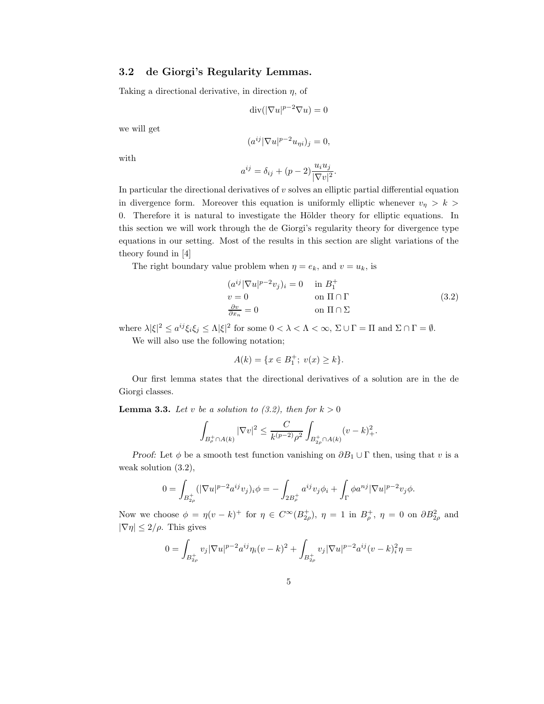#### 3.2 de Giorgi's Regularity Lemmas.

Taking a directional derivative, in direction  $\eta$ , of

$$
\operatorname{div}(|\nabla u|^{p-2}\nabla u)=0
$$

we will get

$$
(a^{ij}|\nabla u|^{p-2}u_{\eta i})_j=0,
$$

with

$$
a^{ij} = \delta_{ij} + (p-2)\frac{u_i u_j}{|\nabla v|^2}.
$$

In particular the directional derivatives of  $v$  solves an elliptic partial differential equation in divergence form. Moreover this equation is uniformly elliptic whenever  $v_{\eta} > k$ 0. Therefore it is natural to investigate the Hölder theory for elliptic equations. In this section we will work through the de Giorgi's regularity theory for divergence type equations in our setting. Most of the results in this section are slight variations of the theory found in [4]

The right boundary value problem when  $\eta = e_k$ , and  $v = u_k$ , is

$$
(a^{ij}|\nabla u|^{p-2}v_j)_i = 0 \t\t in  $B_1^+$   
\n
$$
v = 0 \t\t on \Pi \cap \Gamma
$$
  
\n
$$
\frac{\partial v}{\partial x_n} = 0 \t\t on \Pi \cap \Sigma
$$
\n(3.2)
$$

where  $\lambda |\xi|^2 \le a^{ij} \xi_i \xi_j \le \Lambda |\xi|^2$  for some  $0 < \lambda < \Lambda < \infty$ ,  $\Sigma \cup \Gamma = \Pi$  and  $\Sigma \cap \Gamma = \emptyset$ .

We will also use the following notation;

$$
A(k) = \{ x \in B_1^+; \ v(x) \ge k \}.
$$

Our first lemma states that the directional derivatives of a solution are in the de Giorgi classes.

**Lemma 3.3.** Let v be a solution to (3.2), then for  $k > 0$ 

$$
\int_{B_{\rho}^+\cap A(k)} |\nabla v|^2 \le \frac{C}{k^{(p-2)}\rho^2} \int_{B_{2\rho}^+\cap A(k)} (v-k)_+^2.
$$

Proof: Let  $\phi$  be a smooth test function vanishing on  $\partial B_1 \cup \Gamma$  then, using that v is a weak solution (3.2),

$$
0 = \int_{B_{2\rho}^+} (|\nabla u|^{p-2} a^{ij} v_j)_i \phi = - \int_{2B_{\rho}^+} a^{ij} v_j \phi_i + \int_{\Gamma} \phi a^{nj} |\nabla u|^{p-2} v_j \phi.
$$

Now we choose  $\phi = \eta(v - k)^+$  for  $\eta \in C^{\infty}(B_{2\rho}^+)$ ,  $\eta = 1$  in  $B_{\rho}^+$ ,  $\eta = 0$  on  $\partial B_{2\rho}^2$  and  $|\nabla \eta| \leq 2/\rho$ . This gives

$$
0 = \int_{B_{2\rho}^+} v_j |\nabla u|^{p-2} a^{ij} \eta_i (v-k)^2 + \int_{B_{2\rho}^+} v_j |\nabla u|^{p-2} a^{ij} (v-k)_i^2 \eta =
$$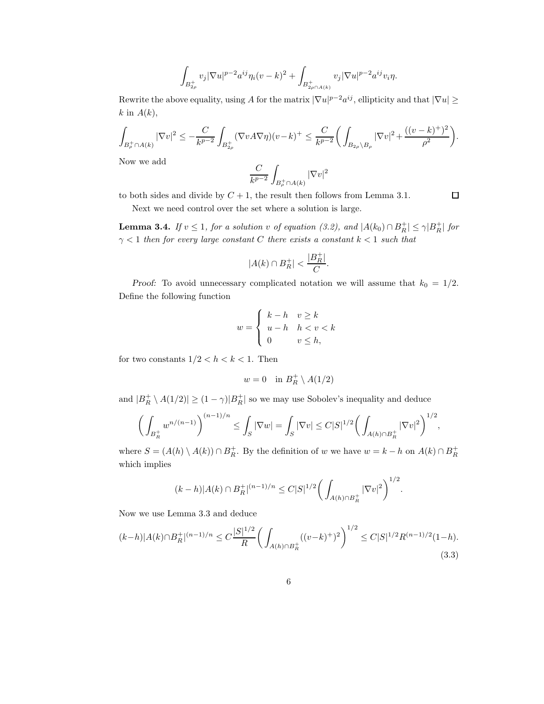$$
\int_{B_{2\rho}^+} v_j |\nabla u|^{p-2} a^{ij} \eta_i (v-k)^2 + \int_{B_{2\rho \cap A(k)}^+} v_j |\nabla u|^{p-2} a^{ij} v_i \eta.
$$

Rewrite the above equality, using A for the matrix  $|\nabla u|^{p-2}a^{ij}$ , ellipticity and that  $|\nabla u| \ge$  $k$  in  $A(k)$ ,

$$
\int_{B_{\rho}^+\cap A(k)} |\nabla v|^2 \leq -\frac{C}{k^{p-2}} \int_{B_{2\rho}^+} (\nabla v A \nabla \eta) (v - k)^+ \leq \frac{C}{k^{p-2}} \bigg( \int_{B_{2\rho}\setminus B_{\rho}} |\nabla v|^2 + \frac{((v - k)^+)^2}{\rho^2} \bigg).
$$

Now we add

$$
\frac{C}{k^{p-2}}\int_{B^+_\rho\cap A(k)}|\nabla v|^2
$$

 $\Box$ 

to both sides and divide by  $C + 1$ , the result then follows from Lemma 3.1.

Next we need control over the set where a solution is large.

**Lemma 3.4.** If  $v \leq 1$ , for a solution v of equation (3.2), and  $|A(k_0) \cap B_R^+| \leq \gamma |B_R^+|$  for  $\gamma$  < 1 then for every large constant C there exists a constant  $k$  < 1 such that

$$
|A(k)\cap B_R^+|<\frac{|B_R^+|}{C}.
$$

Proof: To avoid unnecessary complicated notation we will assume that  $k_0 = 1/2$ . Define the following function

$$
w = \begin{cases} k - h & v \ge k \\ u - h & h < v < k \\ 0 & v \le h, \end{cases}
$$

for two constants  $1/2 < h < k < 1$ . Then

$$
w=0\quad\text{in }B_R^+\setminus A(1/2)
$$

and  $|B_R^+ \setminus A(1/2)| \ge (1 - \gamma)|B_R^+|$  so we may use Sobolev's inequality and deduce

$$
\bigg(\int_{B_R^+} w^{n/(n-1)}\bigg)^{(n-1)/n} \le \int_S |\nabla w| = \int_S |\nabla v| \le C|S|^{1/2} \bigg(\int_{A(h)\cap B_R^+} |\nabla v|^2\bigg)^{1/2},
$$

where  $S = (A(h) \setminus A(k)) \cap B_R^+$ . By the definition of w we have  $w = k - h$  on  $A(k) \cap B_R^+$ which implies

$$
(k-h)|A(k) \cap B_R^+|^{(n-1)/n} \leq C|S|^{1/2} \bigg(\int_{A(h) \cap B_R^+} |\nabla v|^2\bigg)^{1/2}.
$$

Now we use Lemma 3.3 and deduce

$$
(k-h)|A(k)\cap B_R^+|^{(n-1)/n} \le C\frac{|S|^{1/2}}{R} \left(\int_{A(h)\cap B_R^+} ((v-k)^+)^2\right)^{1/2} \le C|S|^{1/2} R^{(n-1)/2} (1-h). \tag{3.3}
$$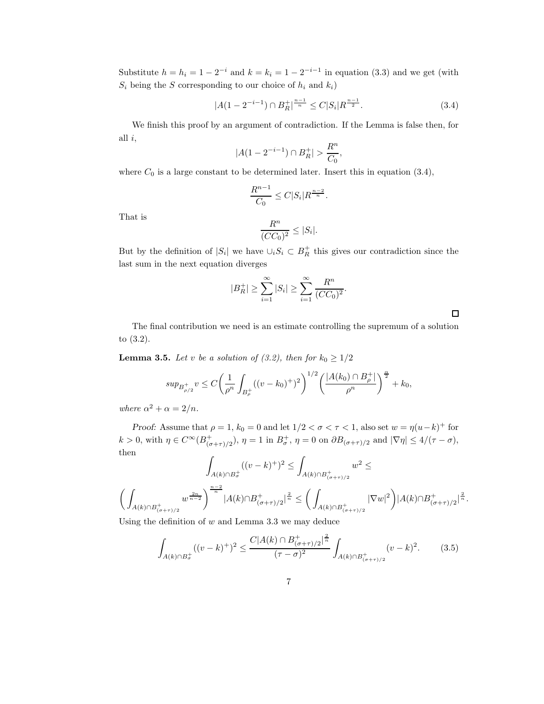Substitute  $h = h_i = 1 - 2^{-i}$  and  $k = k_i = 1 - 2^{-i-1}$  in equation (3.3) and we get (with  $S_i$  being the S corresponding to our choice of  $h_i$  and  $k_i$ )

$$
|A(1 - 2^{-i-1}) \cap B_R^+|^{\frac{n-1}{n}} \le C|S_i| R^{\frac{n-1}{2}}.
$$
\n(3.4)

We finish this proof by an argument of contradiction. If the Lemma is false then, for all  $i$ ,

$$
|A(1 - 2^{-i-1}) \cap B_R^+| > \frac{R^n}{C_0},
$$

where  $C_0$  is a large constant to be determined later. Insert this in equation (3.4),

$$
\frac{R^{n-1}}{C_0} \leq C|S_i|R^{\frac{n-2}{n}}.
$$

That is

$$
\frac{R^n}{(CC_0)^2} \le |S_i|.
$$

But by the definition of  $|S_i|$  we have  $\cup_i S_i \subset B_R^+$  this gives our contradiction since the last sum in the next equation diverges

$$
|B_R^+| \ge \sum_{i=1}^{\infty} |S_i| \ge \sum_{i=1}^{\infty} \frac{R^n}{(CC_0)^2}.
$$

The final contribution we need is an estimate controlling the supremum of a solution to (3.2).

**Lemma 3.5.** Let v be a solution of (3.2), then for  $k_0 \geq 1/2$ 

$$
sup_{B_{\rho/2}^+} v \le C \bigg(\frac{1}{\rho^n} \int_{B_{\rho}^+} ((v - k_0)^+)^2 \bigg)^{1/2} \bigg(\frac{|A(k_0) \cap B_{\rho}^+|}{\rho^n}\bigg)^{\frac{\alpha}{2}} + k_0,
$$

where  $\alpha^2 + \alpha = 2/n$ .

Proof: Assume that  $\rho = 1$ ,  $k_0 = 0$  and let  $1/2 < \sigma < \tau < 1$ , also set  $w = \eta(u-k)^+$  for  $k > 0$ , with  $\eta \in C^{\infty}(B^+_{(\sigma+\tau)/2})$ ,  $\eta = 1$  in  $B^+_{\sigma}$ ,  $\eta = 0$  on  $\partial B_{(\sigma+\tau)/2}$  and  $|\nabla \eta| \leq 4/(\tau-\sigma)$ , then

$$
\int_{A(k)\cap B_{\sigma}^+} ((v-k)^+)^2 \le \int_{A(k)\cap B_{(\sigma+\tau)/2}^+} w^2 \le
$$
  

$$
\left(\int_{A(k)\cap B_{(\sigma+\tau)/2}^+} w^{\frac{2n}{n-2}} \right)^{\frac{n-2}{n}} |A(k)\cap B_{(\sigma+\tau)/2}^+|^{\frac{2}{n}} \le \left(\int_{A(k)\cap B_{(\sigma+\tau)/2}^+} |\nabla w|^2 \right) |A(k)\cap B_{(\sigma+\tau)/2}^+|^{\frac{2}{n}}.
$$

Using the definition of  $w$  and Lemma 3.3 we may deduce

$$
\int_{A(k)\cap B_{\sigma}^+} ((v-k)^+)^2 \le \frac{C|A(k)\cap B_{(\sigma+\tau)/2}^+|^{\frac{2}{n}}}{(\tau-\sigma)^2} \int_{A(k)\cap B_{(\sigma+\tau)/2}^+} (v-k)^2. \tag{3.5}
$$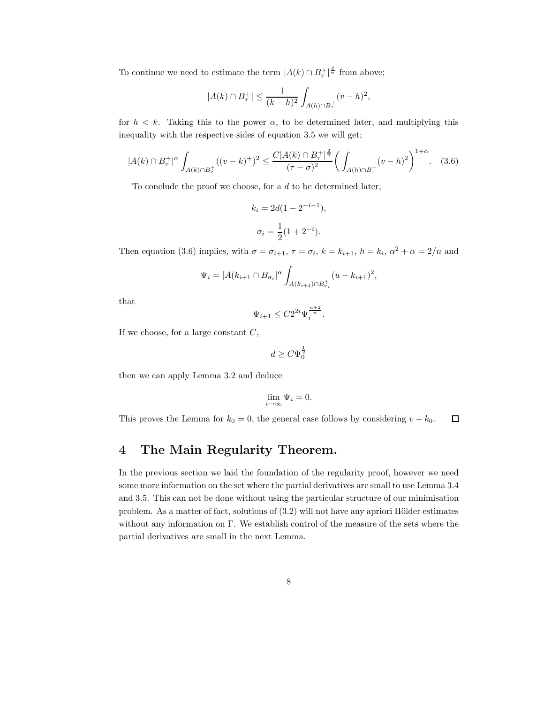To continue we need to estimate the term  $|A(k) \cap B_{\tau}^{+}|^{\frac{2}{n}}$  from above;

$$
|A(k) \cap B_{\tau}^{+}| \leq \frac{1}{(k-h)^{2}} \int_{A(h) \cap B_{\tau}^{+}} (v-h)^{2},
$$

for  $h < k$ . Taking this to the power  $\alpha$ , to be determined later, and multiplying this inequality with the respective sides of equation 3.5 we will get;

$$
|A(k)\cap B_{\tau}^{+}|^{\alpha} \int_{A(k)\cap B_{\tau}^{+}} ((v-k)^{+})^{2} \leq \frac{C|A(k)\cap B_{\tau}^{+}|^{\frac{2}{n}}}{(\tau-\sigma)^{2}} \bigg(\int_{A(h)\cap B_{\tau}^{+}} (v-h)^{2}\bigg)^{1+\alpha}.
$$
 (3.6)

To conclude the proof we choose, for a  $d$  to be determined later,

$$
k_i = 2d(1 - 2^{-i-1}),
$$
  

$$
\sigma_i = \frac{1}{2}(1 + 2^{-i}).
$$

Then equation (3.6) implies, with  $\sigma = \sigma_{i+1}$ ,  $\tau = \sigma_i$ ,  $k = k_{i+1}$ ,  $h = k_i$ ,  $\alpha^2 + \alpha = 2/n$  and

$$
\Psi_i = |A(k_{i+1} \cap B_{\sigma_i}|^{\alpha} \int_{A(k_{i+1}) \cap B_{\sigma_i}^+} (u - k_{i+1})^2,
$$

that

$$
\Psi_{i+1} \leq C 2^{2i} \Psi_i^{\frac{n+2}{n}}.
$$

If we choose, for a large constant  $C$ ,

$$
d \ge C\Psi_0^{\frac{1}{2}}
$$

then we can apply Lemma 3.2 and deduce

$$
\lim_{i\to\infty}\Psi_i=0.
$$

This proves the Lemma for  $k_0 = 0$ , the general case follows by considering  $v - k_0$ .  $\Box$ 

### 4 The Main Regularity Theorem.

In the previous section we laid the foundation of the regularity proof, however we need some more information on the set where the partial derivatives are small to use Lemma 3.4 and 3.5. This can not be done without using the particular structure of our minimisation problem. As a matter of fact, solutions of  $(3.2)$  will not have any apriori Hölder estimates without any information on  $\Gamma$ . We establish control of the measure of the sets where the partial derivatives are small in the next Lemma.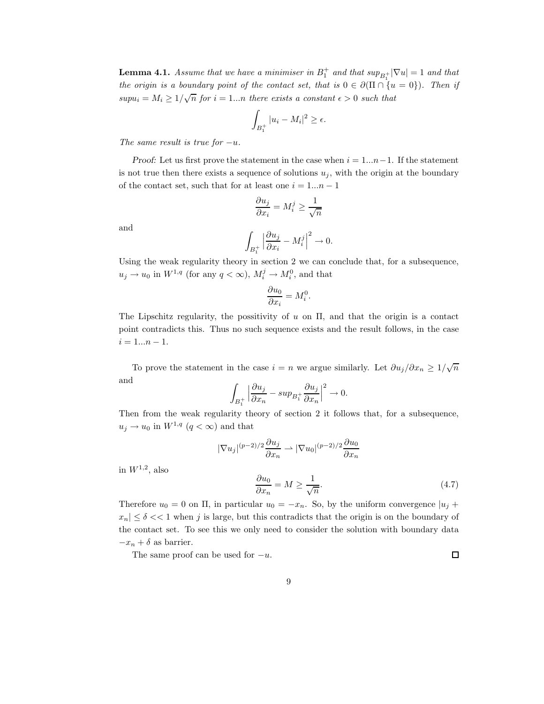**Lemma 4.1.** Assume that we have a minimiser in  $B_1^+$  and that  $sup_{B_1^+} |\nabla u| = 1$  and that the origin is a boundary point of the contact set, that is  $0 \in \partial(\Pi \cap \{u = 0\})$ . Then if  $supu_i = M_i \geq 1/\sqrt{n}$  for  $i = 1...n$  there exists a constant  $\epsilon > 0$  such that

$$
\int_{B_1^+} |u_i - M_i|^2 \ge \epsilon.
$$

The same result is true for  $-u$ .

*Proof:* Let us first prove the statement in the case when  $i = 1...n-1$ . If the statement is not true then there exists a sequence of solutions  $u_j$ , with the origin at the boundary of the contact set, such that for at least one  $i = 1...n - 1$ 

$$
\frac{\partial u_j}{\partial x_i} = M_i^j \ge \frac{1}{\sqrt{n}}
$$

$$
\int_{B_1^+} \left| \frac{\partial u_j}{\partial x_i} - M_i^j \right|^2 \to 0.
$$

 $B_1^+$ 

and

Using the weak regularity theory in section 2 we can conclude that, for a subsequence,  

$$
u_j \to u_0
$$
 in  $W^{1,q}$  (for any  $q < \infty$ ),  $M_i^j \to M_i^0$ , and that

$$
\frac{\partial u_0}{\partial x_i} = M_i^0.
$$

The Lipschitz regularity, the possitivity of  $u$  on  $\Pi$ , and that the origin is a contact point contradicts this. Thus no such sequence exists and the result follows, in the case  $i = 1...n - 1.$ 

To prove the statement in the case  $i = n$  we argue similarly. Let  $\partial u_j / \partial x_n \geq 1/\sqrt{n}$ and

$$
\int_{B_1^+} \left| \frac{\partial u_j}{\partial x_n} - \sup_{B_1^+} \frac{\partial u_j}{\partial x_n} \right|^2 \to 0.
$$

Then from the weak regularity theory of section 2 it follows that, for a subsequence,  $u_j \to u_0$  in  $W^{1,q}$   $(q < \infty)$  and that

$$
|\nabla u_j|^{(p-2)/2} \frac{\partial u_j}{\partial x_n} \rightharpoonup |\nabla u_0|^{(p-2)/2} \frac{\partial u_0}{\partial x_n}
$$

in  $W^{1,2}$ , also

$$
\frac{\partial u_0}{\partial x_n} = M \ge \frac{1}{\sqrt{n}}.\tag{4.7}
$$

Therefore  $u_0 = 0$  on  $\Pi$ , in particular  $u_0 = -x_n$ . So, by the uniform convergence  $|u_i|$  $x_n \leq \delta \ll 1$  when j is large, but this contradicts that the origin is on the boundary of the contact set. To see this we only need to consider the solution with boundary data  $-x_n + \delta$  as barrier.

The same proof can be used for  $-u$ .

 $\Box$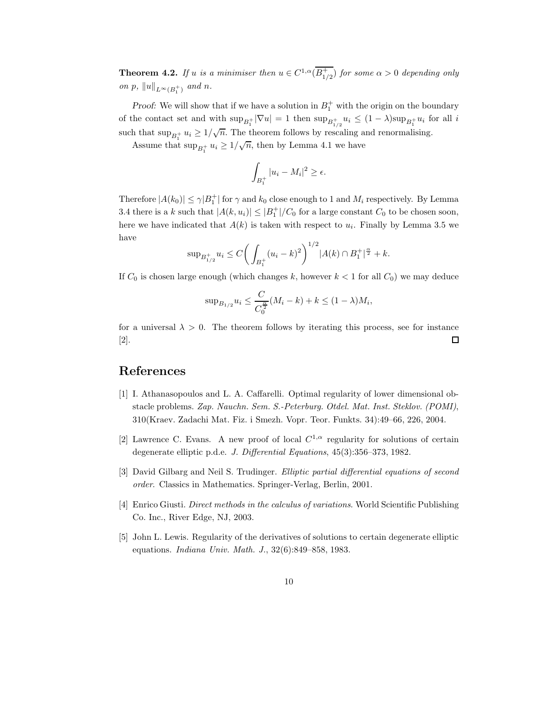**Theorem 4.2.** If u is a minimiser then  $u \in C^{1,\alpha}(\overline{B_{1/2}^+})$  for some  $\alpha > 0$  depending only on p,  $||u||_{L^{\infty}(B_1^+)}$  and n.

*Proof:* We will show that if we have a solution in  $B_1^+$  with the origin on the boundary of the contact set and with  $\sup_{B_1^+} |\nabla u| = 1$  then  $\sup_{B_{1/2}^+} u_i \leq (1 - \lambda) \sup_{B_1^+} u_i$  for all i such that  $\sup_{B_1^+} u_i \geq 1/\sqrt{n}$ . The theorem follows by rescaling and renormalising.

Assume that  $\sup_{B_1^+} u_i \geq 1/\sqrt{n}$ , then by Lemma 4.1 we have

$$
\int_{B_1^+} |u_i - M_i|^2 \ge \epsilon.
$$

Therefore  $|A(k_0)| \leq \gamma |B_1^+|$  for  $\gamma$  and  $k_0$  close enough to 1 and  $M_i$  respectively. By Lemma 3.4 there is a k such that  $|A(k, u_i)| \leq |B_1^+|/C_0$  for a large constant  $C_0$  to be chosen soon, here we have indicated that  $A(k)$  is taken with respect to  $u_i$ . Finally by Lemma 3.5 we have

$$
\sup_{B_{1/2}^+} u_i \le C \bigg( \int_{B_1^+} (u_i - k)^2 \bigg)^{1/2} |A(k) \cap B_1^+|^{\frac{\alpha}{2}} + k.
$$

If  $C_0$  is chosen large enough (which changes k, however  $k < 1$  for all  $C_0$ ) we may deduce

$$
\sup_{B_{1/2}} u_i \le \frac{C}{C_0^{\frac{\alpha}{2}}}(M_i - k) + k \le (1 - \lambda)M_i,
$$

for a universal  $\lambda > 0$ . The theorem follows by iterating this process, see for instance [2].  $\Box$ 

## References

- [1] I. Athanasopoulos and L. A. Caffarelli. Optimal regularity of lower dimensional obstacle problems. Zap. Nauchn. Sem. S.-Peterburg. Otdel. Mat. Inst. Steklov. (POMI), 310(Kraev. Zadachi Mat. Fiz. i Smezh. Vopr. Teor. Funkts. 34):49–66, 226, 2004.
- [2] Lawrence C. Evans. A new proof of local  $C^{1,\alpha}$  regularity for solutions of certain degenerate elliptic p.d.e. J. Differential Equations, 45(3):356–373, 1982.
- [3] David Gilbarg and Neil S. Trudinger. Elliptic partial differential equations of second order. Classics in Mathematics. Springer-Verlag, Berlin, 2001.
- [4] Enrico Giusti. Direct methods in the calculus of variations. World Scientific Publishing Co. Inc., River Edge, NJ, 2003.
- [5] John L. Lewis. Regularity of the derivatives of solutions to certain degenerate elliptic equations. Indiana Univ. Math. J., 32(6):849–858, 1983.